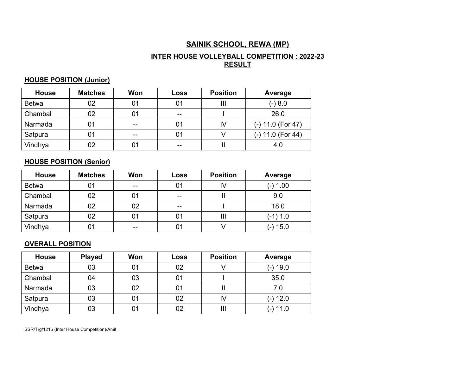# SAINIK SCHOOL, REWA (MP)

# INTER HOUSE VOLLEYBALL COMPETITION : 2022-23 <u>RESULT</u>

# HOUSE POSITION (Junior)

| <b>House</b> | <b>Matches</b> | Won   | Loss | <b>Position</b> | Average           |
|--------------|----------------|-------|------|-----------------|-------------------|
| <b>Betwa</b> | 02             | 01    | 01   | Ш               | $(-) 8.0$         |
| Chambal      | 02             | 01    | $-$  |                 | 26.0              |
| Narmada      | 01             | $- -$ | 01   | IV              | (-) 11.0 (For 47) |
| Satpura      | 01             | $- -$ | 01   |                 | (-) 11.0 (For 44) |
| Vindhya      | 02             | 01    | --   |                 | 4.0               |

# HOUSE POSITION (Senior)

| <b>House</b> | <b>Matches</b> | Won | Loss           | <b>Position</b> | Average    |
|--------------|----------------|-----|----------------|-----------------|------------|
| <b>Betwa</b> | 01             | --  | 01             | IV              | $(-) 1.00$ |
| Chambal      | 02             | 01  | $-$            |                 | 9.0        |
| Narmada      | 02             | 02  | $-$            |                 | 18.0       |
| Satpura      | 02             | 01  | 01             | Ш               | $(-1) 1.0$ |
| Vindhya      | 01             | --  | 0 <sub>1</sub> |                 | (-) 15.0   |

# OVERALL POSITION

| <b>House</b> | <b>Played</b> | Won | Loss | <b>Position</b> | Average    |
|--------------|---------------|-----|------|-----------------|------------|
| <b>Betwa</b> | 03            | 01  | 02   |                 | (-) 19.0   |
| Chambal      | 04            | 03  | 01   |                 | 35.0       |
| Narmada      | 03            | 02  | 01   |                 | 7.0        |
| Satpura      | 03            | 01  | 02   | IV              | $(-) 12.0$ |
| Vindhya      | 03            | 01  | 02   | Ш               | $(-)$ 11.0 |

SSR/Trg/1216 (Inter House Competition)/Amit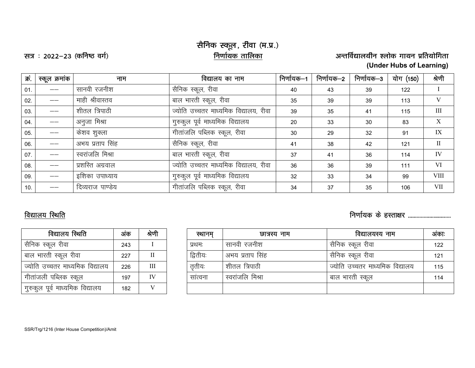# सैनिक स्कूल, रीवा (म.प्र.)<br><u>निर्णायक तालिका</u>

l= % 2022&23 ¼dfu"B oxZ½ fu.kkZ;d rkfydk vUrfoZ|ky;hu 'yksd xk;u izfr;ksfxrk (Under Hubs of Learning)

| क्र. | स्कूल क्रमांक | नाम              | विद्यालय का नाम                       | निर्णायक–1 | निर्णायक–2 | निर्णायक–3 | योग (150) | श्रेणी       |
|------|---------------|------------------|---------------------------------------|------------|------------|------------|-----------|--------------|
| 01.  |               | सानवी रजनीश      | सैनिक स्कूल, रीवा                     | 40         | 43         | 39         | 122       |              |
| 02.  |               | माही श्रीवास्तव  | बाल भारती स्कूल, रीवा                 | 35         | 39         | 39         | 113       | V            |
| 03.  |               | शीतल त्रिपाठी    | ज्योति उच्चतर माध्यमिक विद्यालय, रीवा | 39         | 35         | 41         | 115       | Ш            |
| 04.  |               | अनुजा मिश्रा     | गुरुकुल पूर्व माध्यमिक विद्यालय       | 20         | 33         | 30         | 83        | X            |
| 05.  |               | केशव शुक्ला      | गीतांजलि पब्लिक स्कूल, रीवा           | 30         | 29         | 32         | 91        | IX           |
| 06.  |               | अभय प्रताप सिंह  | सैनिक स्कूल, रीवा                     | 41         | 38         | 42         | 121       | $\mathbf{H}$ |
| 07.  |               | स्वरांजलि मिश्रा | बाल भारती स्कूल, रीवा                 | 37         | 41         | 36         | 114       | IV           |
| 08.  |               | प्रशस्ति अग्रवाल | ज्योति उच्चतर माध्यमिक विद्यालय, रीवा | 36         | 36         | 39         | 111       | VI           |
| 09.  |               | इशिका उपाध्याय   | गुरुकुल पूर्व माध्यमिक विद्यालय       | 32         | 33         | 34         | 99        | <b>VIII</b>  |
| 10.  |               | दिव्यराज पाण्डेय | गीतांजलि पब्लिक स्कूल, रीवा           | 34         | 37         | 35         | 106       | VII          |

# विद्यालय स्थिति सामान्या सम्पादना सम्मान्य सम्पादना सम्मान्य सम्पादना सम्मान्य सम्पादना सम्मान्य सम्पादना सम्<br>विद्यालय स्थिति

| विद्यालय स्थिति                 | अंक | श्रेणी |
|---------------------------------|-----|--------|
| सैनिक स्कूल रीवा                | 243 |        |
| बाल भारती स्कूल रीवा            | 227 | Н      |
| ज्योति उच्चतर माध्यमिक विद्यालय | 226 | Ш      |
| गीतांजली पब्लिक स्कूल           | 197 | IV     |
| गुरुकुल पूर्व माध्यमिक विद्यालय | 182 |        |

| विद्यालय स्थिति                 | अंक | श्रेणी | स्थानम   | छात्रस्य नाम     | विद्यालयस्य नाम                 | अंकाः |
|---------------------------------|-----|--------|----------|------------------|---------------------------------|-------|
| सैनिक स्कूल रीवा                | 243 |        | प्रथमः   | सानवी रजनीश      | । सैनिक स्कूल रीवा              | 122   |
| बाल भारती स्कूल रीवा            | 227 |        | द्वितीयः | अभय प्रताप सिंह  | सैनिक स्कूल रीवा                | 121   |
| ज्योति उच्चतर माध्यमिक विद्यालय | 226 | III    | तृतीयः   | शीतल त्रिपाठी    | ज्योति उच्चतर माध्यमिक विद्यालय | 115   |
| गीतांजली पब्लिक स्कूल           | 197 | IV     | सांत्वना | स्वरांजलि मिश्रा | बाल भारती स्कूल                 | 114   |
| गुरुकुल पूर्व माध्यमिक विद्यालय | 182 |        |          |                  |                                 |       |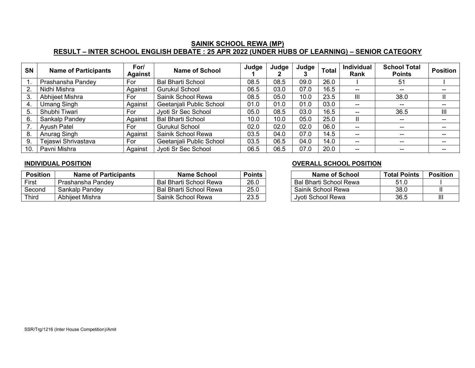# SAINIK SCHOOL REWA (MP) RESULT – INTER SCHOOL ENGLISH DEBATE : 25 APR 2022 (UNDER HUBS OF LEARNING) – SENIOR CATEGORY

| <b>SN</b> | <b>Name of Participants</b> | For/<br>Against | <b>Name of School</b>    | Judge | Judge | Judge | <b>Total</b> | Individual<br>Rank | <b>School Total</b><br><b>Points</b>           | <b>Position</b> |
|-----------|-----------------------------|-----------------|--------------------------|-------|-------|-------|--------------|--------------------|------------------------------------------------|-----------------|
|           | Prashansha Pandey           | For             | <b>Bal Bharti School</b> | 08.5  | 08.5  | 09.0  | 26.0         |                    | 51                                             |                 |
| 2.        | Nidhi Mishra                | Against         | Gurukul School           | 06.5  | 03.0  | 07.0  | 16.5         | $\hspace{0.05cm}$  | $- -$                                          | $- -$           |
| 3.        | Abhijeet Mishra             | For             | Sainik School Rewa       | 08.5  | 05.0  | 10.0  | 23.5         | Ш                  | 38.0                                           | Ш               |
| 4.        | <b>Umang Singh</b>          | Against         | Geetanjali Public School | 01.0  | 01.0  | 01.0  | 03.0         | $\hspace{0.05cm}$  | $\hspace{0.1mm}-\hspace{0.1mm}-\hspace{0.1mm}$ | $- -$           |
| 5.        | Shubhi Tiwari               | For             | Jyoti Sr Sec School      | 05.0  | 08.5  | 03.0  | 16.5         | $- -$              | 36.5                                           | Ш               |
| 6.        | Sankalp Pandey              | Against         | <b>Bal Bharti School</b> | 10.0  | 10.0  | 05.0  | 25.0         | Ш                  |                                                | $- -$           |
|           | <b>Ayush Patel</b>          | For             | <b>Gurukul School</b>    | 02.0  | 02.0  | 02.0  | 06.0         | $\hspace{0.05cm}$  | $- -$                                          | $- -$           |
| 8.        | Anurag Singh                | Against         | Sainik School Rewa       | 03.5  | 04.0  | 07.0  | 14.5         | $- -$              |                                                | $- -$           |
| 9.        | Tejaswi Shrivastava         | For             | Geetanjali Public School | 03.5  | 06.5  | 04.0  | 14.0         | $- -$              | $- -$                                          | $- -$           |
| 10.       | Pavni Mishra                | Against         | Jyoti Sr Sec School      | 06.5  | 06.5  | 07.0  | 20.0         | $- -$              | $- -$                                          | $- -$           |

| Position | <b>Name of Participants</b> | Name School            | Points | Name of School         | <b>Total Points</b> | <b>Position</b> |
|----------|-----------------------------|------------------------|--------|------------------------|---------------------|-----------------|
| First    | Prashansha Pandev           | Bal Bharti School Rewa | 26.0   | Bal Bharti School Rewa | 51.0                |                 |
| Second   | Sankalp Pandey              | Bal Bharti School Rewa | 25.0   | Sainik School Rewa     | 38.C                |                 |
| Third    | Abhijeet Mishra             | Sainik School Rewa     | 23.5   | Jyoti School Rewa      | 36.5                | $\mathbf{III}$  |

## INDIVIDUAL POSITION OVERALL SCHOOL POSITION

| Name of School                | <b>Total Points</b> | <b>Position</b> |
|-------------------------------|---------------------|-----------------|
| <b>Bal Bharti School Rewa</b> | 51 O                |                 |
| Sainik School Rewa            | 38.0                |                 |
| Jyoti School Rewa             | 36.5                |                 |